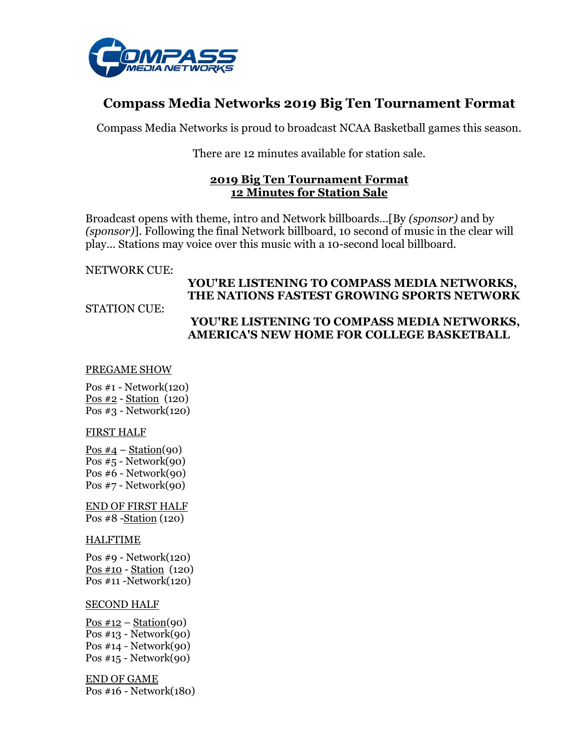

# **Compass Media Networks 2019 Big Ten Tournament Format**

Compass Media Networks is proud to broadcast NCAA Basketball games this season.

There are 12 minutes available for station sale.

#### **2019 Big Ten Tournament Format 12 Minutes for Station Sale**

Broadcast opens with theme, intro and Network billboards…[By *(sponsor)* and by *(sponsor)*]. Following the final Network billboard, 10 second of music in the clear will play… Stations may voice over this music with a 10-second local billboard.

NETWORK CUE:

## **YOU'RE LISTENING TO COMPASS MEDIA NETWORKS, THE NATIONS FASTEST GROWING SPORTS NETWORK**

STATION CUE:

## **YOU'RE LISTENING TO COMPASS MEDIA NETWORKS, AMERICA'S NEW HOME FOR COLLEGE BASKETBALL**

#### PREGAME SHOW

Pos #1 - Network(120) Pos #2 - Station (120) Pos #3 - Network(120)

#### FIRST HALF

Pos  $#4$  – Station(90) Pos  $#5$  - Network $(90)$ Pos #6 - Network(90) Pos #7 - Network(90)

END OF FIRST HALF Pos #8 -Station (120)

#### HALFTIME

Pos #9 - Network(120) Pos #10 - Station (120) Pos #11 -Network(120)

#### SECOND HALF

Pos  $\#12$  – Station(90) Pos #13 - Network(90) Pos #14 - Network(90) Pos #15 - Network(90)

END OF GAME Pos #16 - Network(180)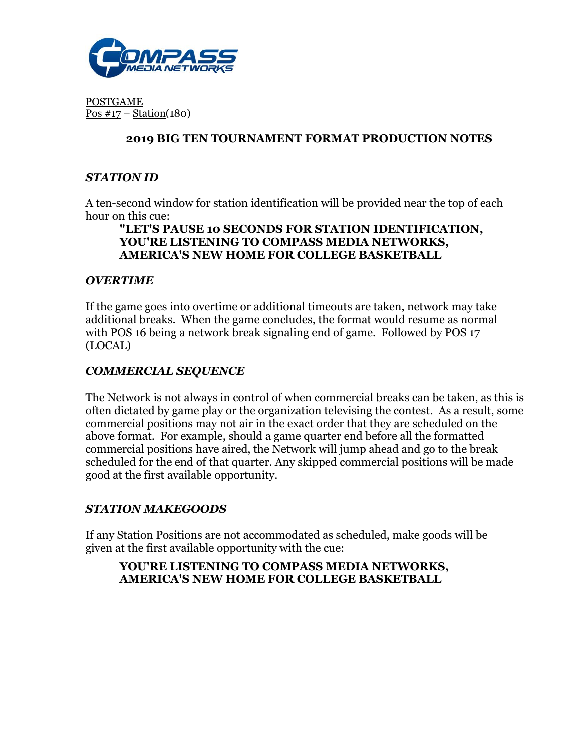

POSTGAME Pos  $\#17$  – Station(180)

## **2019 BIG TEN TOURNAMENT FORMAT PRODUCTION NOTES**

## *STATION ID*

A ten-second window for station identification will be provided near the top of each hour on this cue:

#### **"LET'S PAUSE 10 SECONDS FOR STATION IDENTIFICATION, YOU'RE LISTENING TO COMPASS MEDIA NETWORKS, AMERICA'S NEW HOME FOR COLLEGE BASKETBALL**

### *OVERTIME*

If the game goes into overtime or additional timeouts are taken, network may take additional breaks. When the game concludes, the format would resume as normal with POS 16 being a network break signaling end of game. Followed by POS 17 (LOCAL)

### *COMMERCIAL SEQUENCE*

The Network is not always in control of when commercial breaks can be taken, as this is often dictated by game play or the organization televising the contest. As a result, some commercial positions may not air in the exact order that they are scheduled on the above format. For example, should a game quarter end before all the formatted commercial positions have aired, the Network will jump ahead and go to the break scheduled for the end of that quarter. Any skipped commercial positions will be made good at the first available opportunity.

#### *STATION MAKEGOODS*

If any Station Positions are not accommodated as scheduled, make goods will be given at the first available opportunity with the cue:

### **YOU'RE LISTENING TO COMPASS MEDIA NETWORKS, AMERICA'S NEW HOME FOR COLLEGE BASKETBALL**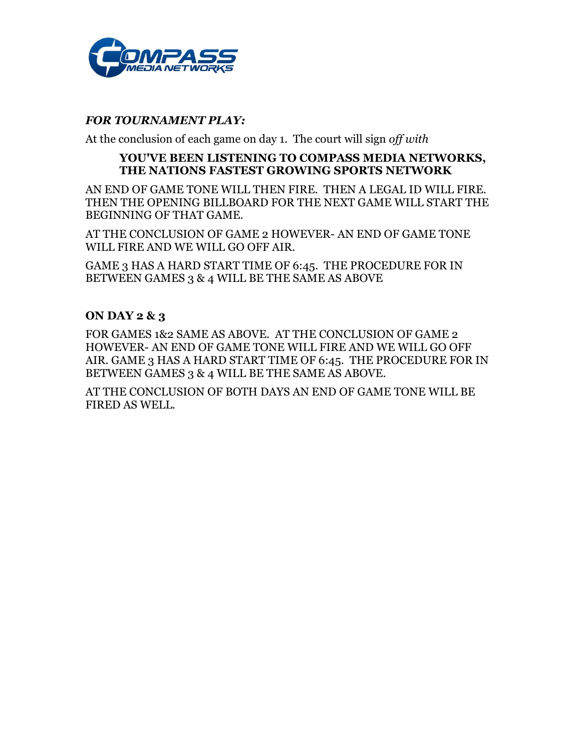

#### *FOR TOURNAMENT PLAY:*

At the conclusion of each game on day 1. The court will sign *off with* 

#### **YOU'VE BEEN LISTENING TO COMPASS MEDIA NETWORKS, THE NATIONS FASTEST GROWING SPORTS NETWORK**

AN END OF GAME TONE WILL THEN FIRE. THEN A LEGAL ID WILL FIRE. THEN THE OPENING BILLBOARD FOR THE NEXT GAME WILL START THE BEGINNING OF THAT GAME.

AT THE CONCLUSION OF GAME 2 HOWEVER- AN END OF GAME TONE WILL FIRE AND WE WILL GO OFF AIR.

GAME 3 HAS A HARD START TIME OF 6:45. THE PROCEDURE FOR IN BETWEEN GAMES 3 & 4 WILL BE THE SAME AS ABOVE

#### **ON DAY 2 & 3**

FOR GAMES 1&2 SAME AS ABOVE. AT THE CONCLUSION OF GAME 2 HOWEVER- AN END OF GAME TONE WILL FIRE AND WE WILL GO OFF AIR. GAME 3 HAS A HARD START TIME OF 6:45. THE PROCEDURE FOR IN BETWEEN GAMES 3 & 4 WILL BE THE SAME AS ABOVE.

AT THE CONCLUSION OF BOTH DAYS AN END OF GAME TONE WILL BE FIRED AS WELL.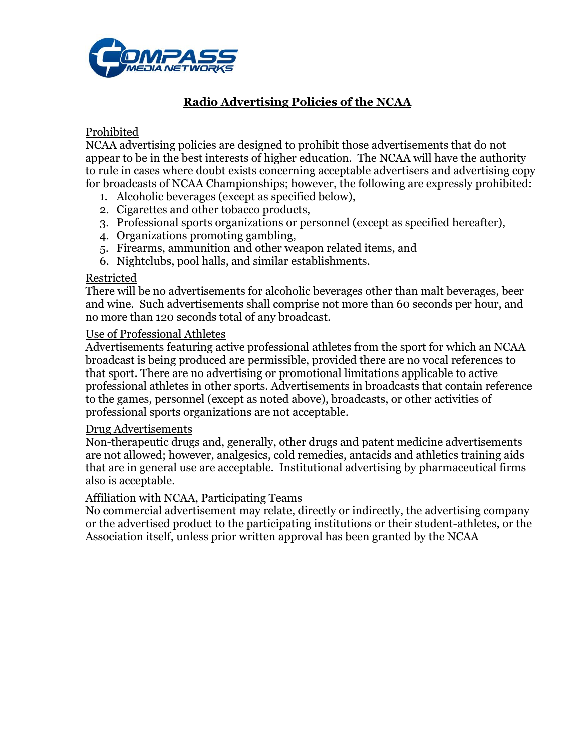

# **Radio Advertising Policies of the NCAA**

## Prohibited

NCAA advertising policies are designed to prohibit those advertisements that do not appear to be in the best interests of higher education. The NCAA will have the authority to rule in cases where doubt exists concerning acceptable advertisers and advertising copy for broadcasts of NCAA Championships; however, the following are expressly prohibited:

- 1. Alcoholic beverages (except as specified below),
- 2. Cigarettes and other tobacco products,
- 3. Professional sports organizations or personnel (except as specified hereafter),
- 4. Organizations promoting gambling,
- 5. Firearms, ammunition and other weapon related items, and
- 6. Nightclubs, pool halls, and similar establishments.

#### Restricted

There will be no advertisements for alcoholic beverages other than malt beverages, beer and wine. Such advertisements shall comprise not more than 60 seconds per hour, and no more than 120 seconds total of any broadcast.

#### Use of Professional Athletes

Advertisements featuring active professional athletes from the sport for which an NCAA broadcast is being produced are permissible, provided there are no vocal references to that sport. There are no advertising or promotional limitations applicable to active professional athletes in other sports. Advertisements in broadcasts that contain reference to the games, personnel (except as noted above), broadcasts, or other activities of professional sports organizations are not acceptable.

#### Drug Advertisements

Non-therapeutic drugs and, generally, other drugs and patent medicine advertisements are not allowed; however, analgesics, cold remedies, antacids and athletics training aids that are in general use are acceptable. Institutional advertising by pharmaceutical firms also is acceptable.

#### Affiliation with NCAA, Participating Teams

No commercial advertisement may relate, directly or indirectly, the advertising company or the advertised product to the participating institutions or their student-athletes, or the Association itself, unless prior written approval has been granted by the NCAA